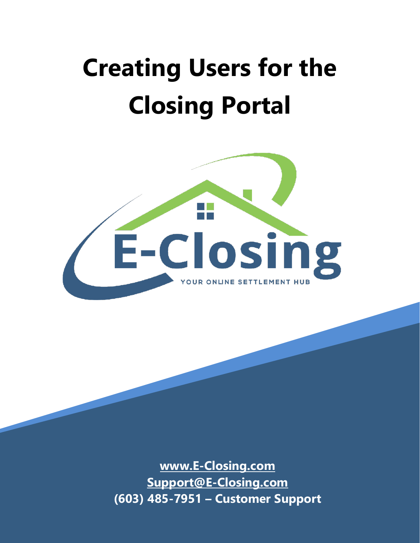# **Creating Users for the Closing Portal**



**[www.E-Closing.com](http://www.e-closing.com/) [Support@E-Closing.com](mailto:Support@E-Closing.com) (603) 485-7951 – Customer Support**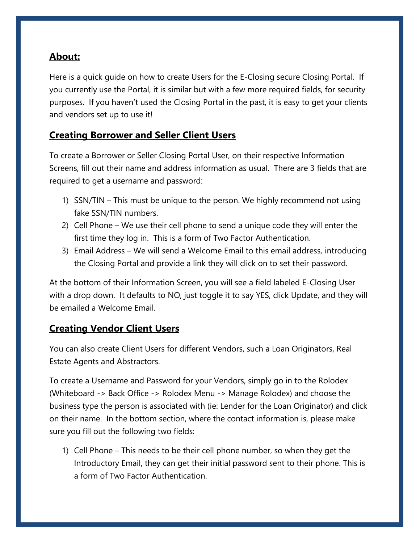## **About:**

Here is a quick guide on how to create Users for the E-Closing secure Closing Portal. If you currently use the Portal, it is similar but with a few more required fields, for security purposes. If you haven't used the Closing Portal in the past, it is easy to get your clients and vendors set up to use it!

### **Creating Borrower and Seller Client Users**

To create a Borrower or Seller Closing Portal User, on their respective Information Screens, fill out their name and address information as usual. There are 3 fields that are required to get a username and password:

- 1) SSN/TIN This must be unique to the person. We highly recommend not using fake SSN/TIN numbers.
- 2) Cell Phone We use their cell phone to send a unique code they will enter the first time they log in. This is a form of Two Factor Authentication.
- 3) Email Address We will send a Welcome Email to this email address, introducing the Closing Portal and provide a link they will click on to set their password.

At the bottom of their Information Screen, you will see a field labeled E-Closing User with a drop down. It defaults to NO, just toggle it to say YES, click Update, and they will be emailed a Welcome Email.

#### **Creating Vendor Client Users**

You can also create Client Users for different Vendors, such a Loan Originators, Real Estate Agents and Abstractors.

To create a Username and Password for your Vendors, simply go in to the Rolodex (Whiteboard -> Back Office -> Rolodex Menu -> Manage Rolodex) and choose the business type the person is associated with (ie: Lender for the Loan Originator) and click on their name. In the bottom section, where the contact information is, please make sure you fill out the following two fields:

1) Cell Phone – This needs to be their cell phone number, so when they get the Introductory Email, they can get their initial password sent to their phone. This is a form of Two Factor Authentication.